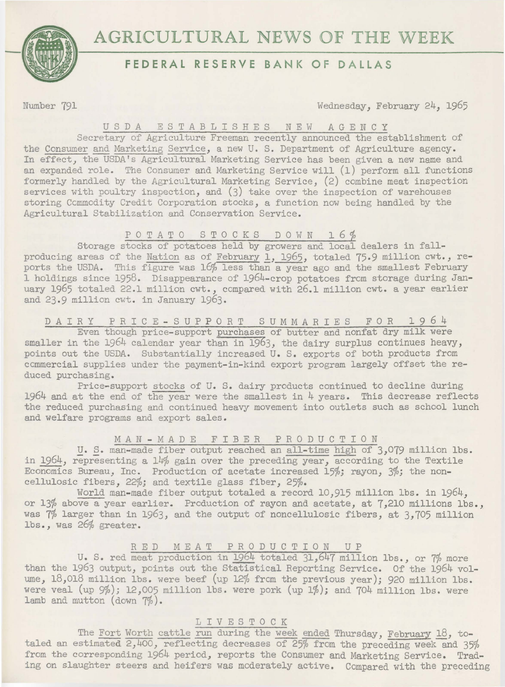

## **FEDERAL RESERVE BANK OF DALLAS**

Number 791 Wednesday, February 24, 1965

### USDA E S T *A* B L I S H E S NEW AGENCY

Secretary of Agriculture Freeman recently announced the establisbment of the Consumer and Marketing Service, a new U. S. Department of Agriculture agency. In effect, the USDA's Agricultural Marketing Service has been given a new name and an expanded role. The Consumer and Marketing Service will (1) perform all functions formerly handled by the Agricultural Marketing Service, (2) combine meat inspection services with poultry inspection, and (3) take over the inspection of warehouses storing Commodity Credit Corporation stocks, a function now being handled by the Agricultural Stabilization and Conservation Service.

# POTATO STOCKS DOWN 16%

Storage stocks of potatoes held by growers and local dealers in fallproducing areas of the Nation as of February 1, 1965, totaled 75.9 million cwt., reports the USDA. This figure was 16% less than a year ago and the smallest February 1 holdings since 1958. Disappearance of 1964-crop potatoes frcm storage during January 1965 totaled 22.1 million cwt., compared with 26.1 million cwt. a year earlier and 23.9 million cwt. in January 1963.

DAIRY PRICE-SUPPORT SUMMARIES FOR 1964

Even though price-support purchases of butter and nonfat dry milk were smaller in the 1964 calendar year than in 1963, the dairy surplus continues heavy, points out the USDA. Substantially increased U. S. exports of both products from ccmmercial supplies under the payment-in-kind export program largely offset the reduced purchasing.

Price-support stocks of U. S. dairy products continued to decline during  $1964$  and at the end of the year were the smallest in  $4$  years. This decrease reflects the reduced purchasing and continued heavy movement into outlets such as school lunch and welfare programs and export sales.

## MAN-MADE FIBER PRODUCTION

U. S. man-made fiber output reached an all-time high of 3,079 million lbs. in 1964, representing a 14% gain over the preceding year, according to the Textile Economics Bureau, Inc. Production of acetate increased 15%; rayon, 3%; the noncellulosic fibers, 22%; and textile glass fiber, 25%.

World man-made fiber output totaled a record 10,915 million lbs. in 1964, or 13% above a year earlier. Production of rayon and acetate, at 7,210 millions lbs., was 7% larger than in 1963, and the output of noncellulosic fibers, at 3,705 million lbs., was 26% greater.

#### RED MEAT PRODUCTION UP

U. S. red meat production in 1964 totaled 31,647 million lbs., or 7% more than the 1963 output, points out the Statistical Reporting Service. Of the 1964 volume, 18,018 million lbs. were beef (up 12% from the previous year); 920 million lbs. were veal  $(up 9\%)$ ; 12,005 million lbs. were pork  $(up 1\%)$ ; and  $704$  million lbs. were lamb and mutton (down 7%).

## 1 I V E S T 0 C K

The Fort Worth cattle run during the week ended Thursday, February 18, totaled an estimated  $2,400$ , reflecting decreases of 25% from the preceding week and 35% from the corresponding 1964 period, reports the Consumer and Marketing Service. Trading on slaughter steers and heifers was moderately active. Compared with the preceding